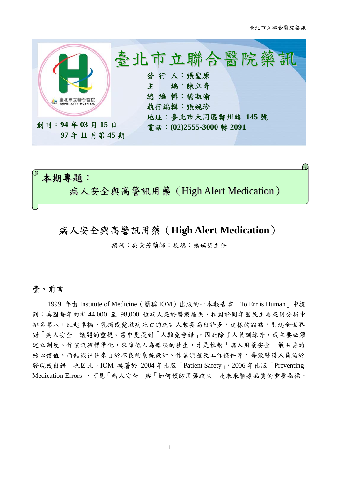

# μ, 本期專題: 病人安全與高警訊用藥(High Alert Medication)

## 病人安全與高警訊用藥(**High Alert Medication**)

撰稿:吳素芳藥師;校稿:楊瑛碧主任

### 壹、前言

1999 年由 Institute of Medicine(簡稱 IOM)出版的一本報告書「To Err is Human」中提 到:美國每年約有 44,000 至 98,000 位病人死於醫療疏失,相對於同年國民主要死因分析中 排名第八,比起車禍、乳癌或愛滋病死亡的統計人數要高出許多,這樣的論點,引起全世界 對「病人安全」議題的重視。書中更提到「人難免會錯」,因此除了人員訓練外,最主要必須 建立制度、作業流程標準化,來降低人為錯誤的發生,才是推動「病人用藥安全」最主要的 核心價值。而錯誤往往來自於不良的系統設計、作業流程及工作條件等,導致醫護人員疏於 發現或出錯。也因此,IOM 接著於 2004 年出版「Patient Safety」,2006 年出版「Preventing Medication Errors」,可見「病人安全」與「如何預防用藥疏失」是未來醫療品質的重要指標。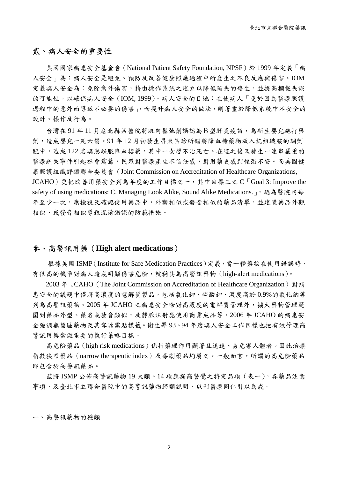### 貳、病人安全的重要性

美國國家病患安全基金會(National Patient Safety Foundation, NPSF)於 1999 年定義「病 人安全」為:病人安全是避免、預防及改善健康照護過程中所產生之不良反應與傷害。IOM 定義病人安全為:免除意外傷害,藉由操作系統之建立以降低疏失的發生,並提高攔截失誤 的可能性,以確保病人安全(IOM, 1999)。病人安全的目地:在使病人「免於因為醫療照護 過程中的意外而導致不必要的傷害」,而提升病人安全的做法,則著重於降低系統中不安全的 設計、操作及行為。

台灣在 91 年 11 月底北縣某醫院將肌肉鬆弛劑誤認為B型肝炎疫苗,為新生嬰兒施打藥 劑,造成嬰兒一死六傷。91 年 12 月初發生屏東某診所錯將降血糖藥物放入抗組織胺的調劑 瓶中,造成122名病患誤服降血糖藥,其中一女嬰不治死亡。在這之後又發生一連串嚴重的 醫療疏失事件引起社會震驚,民眾對醫療產生不信任感,對用藥更感到惶恐不安。而美國健 康照護組織評鑑聯合委員會(Joint Commission on Accreditation of Healthcare Organizations,  $JCAHO$ )更把改善用藥安全列為年度的工作目標之一,其中目標三之 $C \Gamma G$ oal 3: Improve the safety of using medications: C. Managing Look Alike, Sound Alike Medications. い認為醫院內每 年至少一次,應檢視及確認使用藥品中,外觀相似或發音相似的藥品清單,並建置藥品外觀 相似、或發音相似導致混淆錯誤的防範措施。

### 參、高警訊用藥(**High alert medications**)

根據美國 ISMP (Institute for Safe Medication Practices)定義,當一種藥物在使用錯誤時, 有很高的機率對病人造成明顯傷害危險,就稱其為高警訊藥物 (high-alert medications)。

2003 年 JCAHO (The Joint Commission on Accreditation of Healthcare Organization) 對病 患安全的議題中僅將高濃度的電解質製品,包括氯化鉀、磷酸鉀、濃度高於 0.9%的氯化鈉等 列為高警訊藥物。2005 年 JCAHO 之病患安全除對高濃度的電解質管理外,擴大藥物管理範 圍到藥品外型、藥名或發音類似,及靜脈注射應使用商業成品等。2006 年 JCAHO 的病患安 全強調無菌區藥物及其容器需貼標籤。衛生署 93、94 年度病人安全工作目標也把有效管理高 警訊用藥當做重要的執行策略目標。

高危險藥品(high risk medications)係指藥理作用顯著且迅速、易危害人體者。因此治療 指數狹窄藥品(narrow therapeutic index)及毒劇藥品均屬之。一般而言,所謂的高危險藥品 即包含於高警訊藥品。

茲將 ISMP 公佈高警訊藥物 19 大類、14 項應提高警覺之特定品項(表一),各藥品注意 事項,及臺北市立聯合醫院中的高警訊藥物歸類說明,以利醫療同仁引以為戒。

ㄧ、高警訊藥物的種類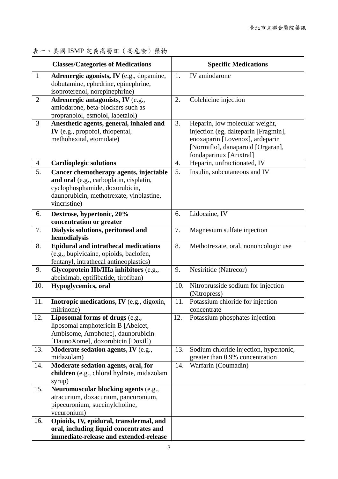|                | <b>Classes/Categories of Medications</b>                                                                                                                                        |     | <b>Specific Medications</b>                                                                                                                                               |
|----------------|---------------------------------------------------------------------------------------------------------------------------------------------------------------------------------|-----|---------------------------------------------------------------------------------------------------------------------------------------------------------------------------|
| $\mathbf{1}$   | Adrenergic agonists, IV (e.g., dopamine,<br>dobutamine, ephedrine, epinephrine,<br>isoproterenol, norepinephrine)                                                               | 1.  | IV amiodarone                                                                                                                                                             |
| $\overline{2}$ | Adrenergic antagonists, IV (e.g.,<br>amiodarone, beta-blockers such as<br>propranolol, esmolol, labetalol)                                                                      | 2.  | Colchicine injection                                                                                                                                                      |
| $\overline{3}$ | Anesthetic agents, general, inhaled and<br>IV (e.g., propofol, thiopental,<br>methohexital, etomidate)                                                                          | 3.  | Heparin, low molecular weight,<br>injection (eg, dalteparin [Fragmin],<br>enoxaparin [Lovenox], ardeparin<br>[Normiflo], danaparoid [Orgaran],<br>fondaparinux [Arixtral] |
| $\overline{4}$ | <b>Cardioplegic solutions</b>                                                                                                                                                   | 4.  | Heparin, unfractionated, IV                                                                                                                                               |
| 5.             | Cancer chemotherapy agents, injectable<br>and oral (e.g., carboplatin, cisplatin,<br>cyclophosphamide, doxorubicin,<br>daunorubicin, methotrexate, vinblastine,<br>vincristine) | 5.  | Insulin, subcutaneous and IV                                                                                                                                              |
| 6.             | Dextrose, hypertonic, 20%<br>concentration or greater                                                                                                                           | 6.  | Lidocaine, IV                                                                                                                                                             |
| 7.             | Dialysis solutions, peritoneal and<br>hemodialysis                                                                                                                              | 7.  | Magnesium sulfate injection                                                                                                                                               |
| 8.             | <b>Epidural and intrathecal medications</b><br>(e.g., bupivicaine, opioids, baclofen,<br>fentanyl, intrathecal antineoplastics)                                                 | 8.  | Methotrexate, oral, nononcologic use                                                                                                                                      |
| 9.             | Glycoprotein IIb/IIIa inhibitors (e.g.,<br>abciximab, eptifibatide, tirofiban)                                                                                                  | 9.  | Nesiritide (Natrecor)                                                                                                                                                     |
| 10.            | Hypoglycemics, oral                                                                                                                                                             | 10. | Nitroprusside sodium for injection<br>(Nitropress)                                                                                                                        |
| 11.            | Inotropic medications, IV (e.g., digoxin,<br>milrinone)                                                                                                                         | 11. | Potassium chloride for injection<br>concentrate                                                                                                                           |
| 12.            | Liposomal forms of drugs (e.g.,<br>liposomal amphotericin B [Abelcet,<br>Ambisome, Amphotec], daunorubicin<br>[DaunoXome], doxorubicin [Doxil])                                 | 12. | Potassium phosphates injection                                                                                                                                            |
| 13.            | Moderate sedation agents, IV (e.g.,<br>midazolam)                                                                                                                               | 13. | Sodium chloride injection, hypertonic,<br>greater than 0.9% concentration                                                                                                 |
| 14.            | Moderate sedation agents, oral, for<br>children (e.g., chloral hydrate, midazolam<br>syrup)                                                                                     | 14. | Warfarin (Coumadin)                                                                                                                                                       |
| 15.            | Neuromuscular blocking agents (e.g.,<br>atracurium, doxacurium, pancuronium,<br>pipecuronium, succinylcholine,<br>vecuronium)                                                   |     |                                                                                                                                                                           |
| 16.            | Opioids, IV, epidural, transdermal, and<br>oral, including liquid concentrates and<br>immediate-release and extended-release                                                    |     |                                                                                                                                                                           |

## 表一、美國 ISMP 定義高警訊(高危險)藥物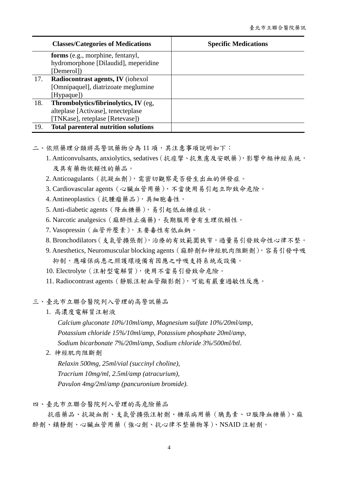|     | <b>Classes/Categories of Medications</b>    | <b>Specific Medications</b> |
|-----|---------------------------------------------|-----------------------------|
|     | forms (e.g., morphine, fentanyl,            |                             |
|     | hydromorphone [Dilaudid], meperidine        |                             |
|     | [Demerol])                                  |                             |
| 17. | Radiocontrast agents, IV (iohexol           |                             |
|     | [Omnipaquel], diatrizoate meglumine         |                             |
|     | [Hypaque])                                  |                             |
| 18. | Thrombolytics/fibrinolytics, IV (eg,        |                             |
|     | alteplase [Activase], tenecteplase          |                             |
|     | [TNKase], reteplase [Retevase])             |                             |
| 19. | <b>Total parenteral nutrition solutions</b> |                             |

二、依照藥理分類將高警訊藥物分為11項,其注意事項說明如下:

- 1. Anticonvulsants, anxiolytics, sedatives(抗痙攣、抗焦慮及安眠藥),影響中樞神經系統, 及具有藥物依賴性的藥品。
- 2. Anticoagulants(抗凝血劑),需密切觀察是否發生出血的併發症。
- 3. Cardiovascular agents(心臟血管用藥),不當使用易引起立即致命危險。
- 4. Antineoplastics(抗腫瘤藥品),具細胞毒性。
- 5. Anti-diabetic agents(降血糖藥),易引起低血糖症狀。
- 6. Narcotic analgesics(麻醉性止痛藥),長期服用會有生理依賴性。
- 7. Vasopressin(血管升壓素),主要毒性有低血鈉。
- 8. Bronchodilators(支氣管擴張劑),治療的有效範圍狹窄,過量易引發致命性心律不整。
- 9. Anesthetics, Neuromuscular blocking agents(麻醉劑和神經肌肉阻斷劑),容易引發呼吸 抑制,應確保病患之照護環境備有因應之呼吸支持系統或設備。
- 10. Electrolyte(注射型電解質),使用不當易引發致命危險。
- 11. Radiocontrast agents(靜脈注射血管顯影劑),可能有嚴重過敏性反應。

三、臺北市立聯合醫院列入管理的高警訊藥品

1. 高濃度電解質注射液

*Calcium gluconate 10%/10ml/amp, Magnesium sulfate 10%/20ml/amp, Potassium chloride 15%/10ml/amp, Potassium phosphate 20ml/amp, Sodium bicarbonate 7%/20ml/amp, Sodium chloride 3%/500ml/btl*.

2. 神經肌肉阻斷劑

*Relaxin 500mg, 25ml/vial (succinyl choline), Tracrium 10mg/ml, 2.5ml/amp (atracurium), Pavulon 4mg/2ml/amp (pancuronium bromide).* 

四、臺北市立聯合醫院列入管理的高危險藥品

抗癌藥品、抗凝血劑、支氣管擴張注射劑、糖尿病用藥(胰島素、口服降血糖藥)、麻 醉劑、鎮靜劑、心臟血管用藥(強心劑、抗心律不整藥物等)、NSAID 注射劑。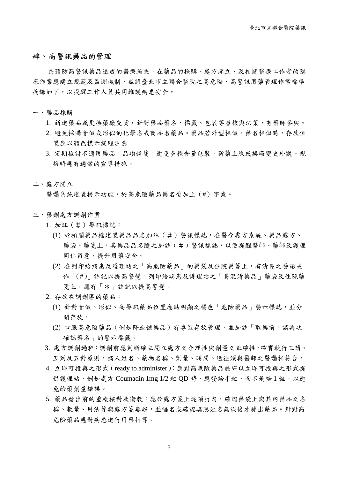### 肆、高警訊藥品的管理

為預防高警訊藥品造成的醫療疏失,在藥品的採購、處方開立、及相關醫療工作者的臨 床作業應建立規範及監測機制,茲將臺北市立聯合醫院之高危險、高警訊用藥管理作業標準 摘錄如下,以提醒工作人員共同維護病患安全。

一、藥品採購

- 1. 新進藥品或更換藥廠交貨,針對藥品藥名、標籤、包裝等審核與決策,有藥師參與。
- 2. 避免採購音似或形似的化學名或商品名藥品。藥品若外型相似、藥名相似時,存放位 置應以顏色標示提醒注意
- 3. 定期檢討不適用藥品,品項精簡,避免多種含量包裝,新藥上線或換廠變更外觀、規 格時應有適當的宣導措施。

#### 二、處方開立

醫囑系統建置提示功能,於高危險藥品藥名後加上(#)字號。

- 三、藥劑處方調劑作業
	- 1. 加註(#)警訊標誌:
		- (1) 於相關藥品檔建置藥品品名加註(#)警訊標誌,在醫令處方系統、藥品處方、 藥袋、藥箋上,其藥品品名隨之加註(#)警訊標誌,以便提醒醫師、藥師及護理 同仁留意,提升用藥安全。
		- (2) 在列印給病患及護理站之「高危險藥品」的藥袋及住院藥箋上,有清楚之警語或 作「(#)」註記以提高警覺。列印給病患及護理站之「易混淆藥品」藥袋及住院藥 箋上,應有「\*」註記以提高警覺。
	- 2. 存放在調劑區的藥品:
		- (1) 針對音似、形似、高警訊藥品位置應貼明顯之橘色「危險藥品」警示標誌,並分 開存放。
		- (2) 口服高危險藥品(例如降血糖藥品)有專區存放管理,並加註「取藥前,請再次 確認藥名」的警示標籤。
	- 3. 處方調劑過程:調劑前應判斷確立開立處方之合理性與劑量之正確性,確實執行三讀、 五到及五對原則。病人姓名、藥物名稱、劑量、時間、途徑須與醫師之醫囑相符合。
	- 4. 立即可投與之形式(ready to administer):應對高危險藥品嚴守以立即可投與之形式提 供護理站,例如處方 Coumadin 1mg 1/2 粒 OD 時,應發給半粒,而不是給1粒,以避 免給藥劑量錯誤。
	- 5. 藥品發出前的重複核對及衛教:應於處方箋上逐項打勾,確認藥袋上與其內藥品之名 稱、數量、用法等與處方箋無誤,並唱名或確認病患姓名無誤後才發出藥品。針對高 危險藥品應對病患進行用藥指導。